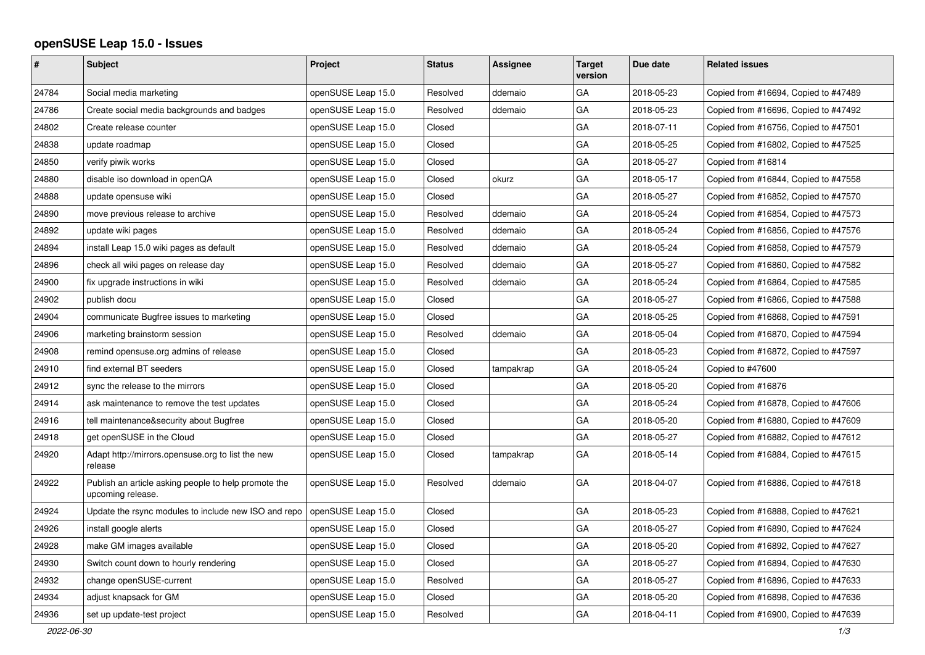## **openSUSE Leap 15.0 - Issues**

| #     | <b>Subject</b>                                                            | Project            | <b>Status</b> | Assignee  | <b>Target</b><br>version | Due date   | <b>Related issues</b>                |
|-------|---------------------------------------------------------------------------|--------------------|---------------|-----------|--------------------------|------------|--------------------------------------|
| 24784 | Social media marketing                                                    | openSUSE Leap 15.0 | Resolved      | ddemaio   | GA                       | 2018-05-23 | Copied from #16694, Copied to #47489 |
| 24786 | Create social media backgrounds and badges                                | openSUSE Leap 15.0 | Resolved      | ddemaio   | GA                       | 2018-05-23 | Copied from #16696, Copied to #47492 |
| 24802 | Create release counter                                                    | openSUSE Leap 15.0 | Closed        |           | GA                       | 2018-07-11 | Copied from #16756, Copied to #47501 |
| 24838 | update roadmap                                                            | openSUSE Leap 15.0 | Closed        |           | GA                       | 2018-05-25 | Copied from #16802, Copied to #47525 |
| 24850 | verify piwik works                                                        | openSUSE Leap 15.0 | Closed        |           | GA                       | 2018-05-27 | Copied from #16814                   |
| 24880 | disable iso download in openQA                                            | openSUSE Leap 15.0 | Closed        | okurz     | GA                       | 2018-05-17 | Copied from #16844, Copied to #47558 |
| 24888 | update opensuse wiki                                                      | openSUSE Leap 15.0 | Closed        |           | GA                       | 2018-05-27 | Copied from #16852, Copied to #47570 |
| 24890 | move previous release to archive                                          | openSUSE Leap 15.0 | Resolved      | ddemaio   | GA                       | 2018-05-24 | Copied from #16854, Copied to #47573 |
| 24892 | update wiki pages                                                         | openSUSE Leap 15.0 | Resolved      | ddemaio   | GA                       | 2018-05-24 | Copied from #16856, Copied to #47576 |
| 24894 | install Leap 15.0 wiki pages as default                                   | openSUSE Leap 15.0 | Resolved      | ddemaio   | GA                       | 2018-05-24 | Copied from #16858, Copied to #47579 |
| 24896 | check all wiki pages on release day                                       | openSUSE Leap 15.0 | Resolved      | ddemaio   | GA                       | 2018-05-27 | Copied from #16860, Copied to #47582 |
| 24900 | fix upgrade instructions in wiki                                          | openSUSE Leap 15.0 | Resolved      | ddemaio   | GA                       | 2018-05-24 | Copied from #16864, Copied to #47585 |
| 24902 | publish docu                                                              | openSUSE Leap 15.0 | Closed        |           | GA                       | 2018-05-27 | Copied from #16866, Copied to #47588 |
| 24904 | communicate Bugfree issues to marketing                                   | openSUSE Leap 15.0 | Closed        |           | GA                       | 2018-05-25 | Copied from #16868, Copied to #47591 |
| 24906 | marketing brainstorm session                                              | openSUSE Leap 15.0 | Resolved      | ddemaio   | GA                       | 2018-05-04 | Copied from #16870, Copied to #47594 |
| 24908 | remind opensuse.org admins of release                                     | openSUSE Leap 15.0 | Closed        |           | GA                       | 2018-05-23 | Copied from #16872, Copied to #47597 |
| 24910 | find external BT seeders                                                  | openSUSE Leap 15.0 | Closed        | tampakrap | GA                       | 2018-05-24 | Copied to #47600                     |
| 24912 | sync the release to the mirrors                                           | openSUSE Leap 15.0 | Closed        |           | GA                       | 2018-05-20 | Copied from #16876                   |
| 24914 | ask maintenance to remove the test updates                                | openSUSE Leap 15.0 | Closed        |           | GA                       | 2018-05-24 | Copied from #16878, Copied to #47606 |
| 24916 | tell maintenance&security about Bugfree                                   | openSUSE Leap 15.0 | Closed        |           | GA                       | 2018-05-20 | Copied from #16880, Copied to #47609 |
| 24918 | get openSUSE in the Cloud                                                 | openSUSE Leap 15.0 | Closed        |           | GA                       | 2018-05-27 | Copied from #16882, Copied to #47612 |
| 24920 | Adapt http://mirrors.opensuse.org to list the new<br>release              | openSUSE Leap 15.0 | Closed        | tampakrap | GA                       | 2018-05-14 | Copied from #16884, Copied to #47615 |
| 24922 | Publish an article asking people to help promote the<br>upcoming release. | openSUSE Leap 15.0 | Resolved      | ddemaio   | GA                       | 2018-04-07 | Copied from #16886, Copied to #47618 |
| 24924 | Update the rsync modules to include new ISO and repo                      | openSUSE Leap 15.0 | Closed        |           | GA                       | 2018-05-23 | Copied from #16888, Copied to #47621 |
| 24926 | install google alerts                                                     | openSUSE Leap 15.0 | Closed        |           | GA                       | 2018-05-27 | Copied from #16890, Copied to #47624 |
| 24928 | make GM images available                                                  | openSUSE Leap 15.0 | Closed        |           | GA                       | 2018-05-20 | Copied from #16892, Copied to #47627 |
| 24930 | Switch count down to hourly rendering                                     | openSUSE Leap 15.0 | Closed        |           | GA                       | 2018-05-27 | Copied from #16894, Copied to #47630 |
| 24932 | change openSUSE-current                                                   | openSUSE Leap 15.0 | Resolved      |           | GA                       | 2018-05-27 | Copied from #16896, Copied to #47633 |
| 24934 | adjust knapsack for GM                                                    | openSUSE Leap 15.0 | Closed        |           | GA                       | 2018-05-20 | Copied from #16898, Copied to #47636 |
| 24936 | set up update-test project                                                | openSUSE Leap 15.0 | Resolved      |           | GA                       | 2018-04-11 | Copied from #16900, Copied to #47639 |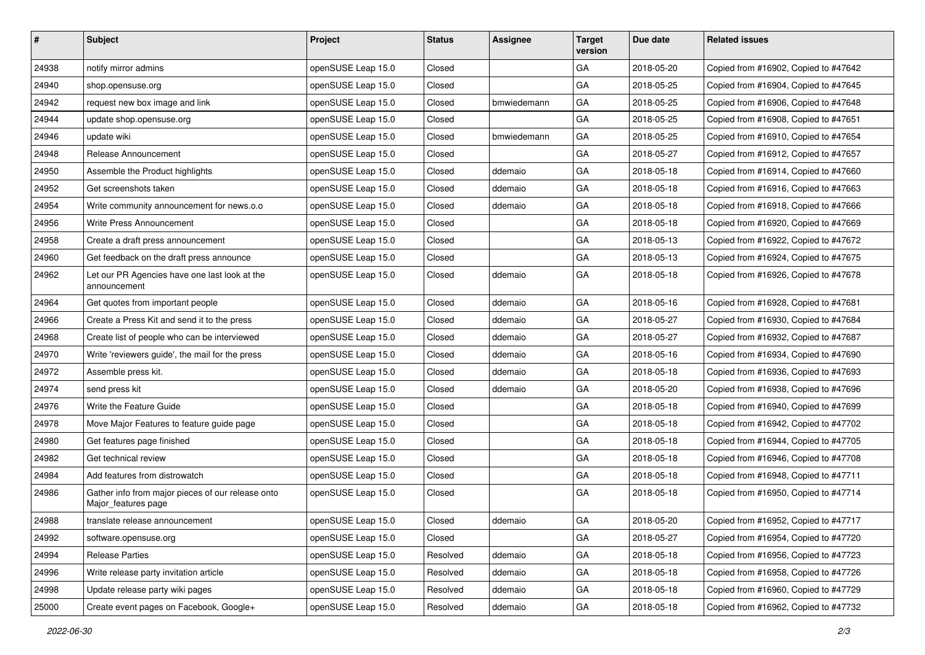| #     | <b>Subject</b>                                                           | Project            | <b>Status</b> | Assignee    | <b>Target</b><br>version | Due date   | <b>Related issues</b>                |
|-------|--------------------------------------------------------------------------|--------------------|---------------|-------------|--------------------------|------------|--------------------------------------|
| 24938 | notify mirror admins                                                     | openSUSE Leap 15.0 | Closed        |             | GA                       | 2018-05-20 | Copied from #16902, Copied to #47642 |
| 24940 | shop.opensuse.org                                                        | openSUSE Leap 15.0 | Closed        |             | GA                       | 2018-05-25 | Copied from #16904, Copied to #47645 |
| 24942 | request new box image and link                                           | openSUSE Leap 15.0 | Closed        | bmwiedemann | GA                       | 2018-05-25 | Copied from #16906, Copied to #47648 |
| 24944 | update shop.opensuse.org                                                 | openSUSE Leap 15.0 | Closed        |             | GA                       | 2018-05-25 | Copied from #16908, Copied to #47651 |
| 24946 | update wiki                                                              | openSUSE Leap 15.0 | Closed        | bmwiedemann | GA                       | 2018-05-25 | Copied from #16910, Copied to #47654 |
| 24948 | Release Announcement                                                     | openSUSE Leap 15.0 | Closed        |             | GA                       | 2018-05-27 | Copied from #16912, Copied to #47657 |
| 24950 | Assemble the Product highlights                                          | openSUSE Leap 15.0 | Closed        | ddemaio     | GA                       | 2018-05-18 | Copied from #16914, Copied to #47660 |
| 24952 | Get screenshots taken                                                    | openSUSE Leap 15.0 | Closed        | ddemaio     | GA                       | 2018-05-18 | Copied from #16916, Copied to #47663 |
| 24954 | Write community announcement for news.o.o                                | openSUSE Leap 15.0 | Closed        | ddemaio     | GA                       | 2018-05-18 | Copied from #16918, Copied to #47666 |
| 24956 | Write Press Announcement                                                 | openSUSE Leap 15.0 | Closed        |             | GA                       | 2018-05-18 | Copied from #16920, Copied to #47669 |
| 24958 | Create a draft press announcement                                        | openSUSE Leap 15.0 | Closed        |             | GA                       | 2018-05-13 | Copied from #16922, Copied to #47672 |
| 24960 | Get feedback on the draft press announce                                 | openSUSE Leap 15.0 | Closed        |             | GA                       | 2018-05-13 | Copied from #16924, Copied to #47675 |
| 24962 | Let our PR Agencies have one last look at the<br>announcement            | openSUSE Leap 15.0 | Closed        | ddemaio     | GA                       | 2018-05-18 | Copied from #16926, Copied to #47678 |
| 24964 | Get quotes from important people                                         | openSUSE Leap 15.0 | Closed        | ddemaio     | GA                       | 2018-05-16 | Copied from #16928, Copied to #47681 |
| 24966 | Create a Press Kit and send it to the press                              | openSUSE Leap 15.0 | Closed        | ddemaio     | GA                       | 2018-05-27 | Copied from #16930, Copied to #47684 |
| 24968 | Create list of people who can be interviewed                             | openSUSE Leap 15.0 | Closed        | ddemaio     | GA                       | 2018-05-27 | Copied from #16932, Copied to #47687 |
| 24970 | Write 'reviewers guide', the mail for the press                          | openSUSE Leap 15.0 | Closed        | ddemaio     | GA                       | 2018-05-16 | Copied from #16934, Copied to #47690 |
| 24972 | Assemble press kit.                                                      | openSUSE Leap 15.0 | Closed        | ddemaio     | GA                       | 2018-05-18 | Copied from #16936, Copied to #47693 |
| 24974 | send press kit                                                           | openSUSE Leap 15.0 | Closed        | ddemaio     | GA                       | 2018-05-20 | Copied from #16938, Copied to #47696 |
| 24976 | Write the Feature Guide                                                  | openSUSE Leap 15.0 | Closed        |             | GA                       | 2018-05-18 | Copied from #16940, Copied to #47699 |
| 24978 | Move Major Features to feature guide page                                | openSUSE Leap 15.0 | Closed        |             | GA                       | 2018-05-18 | Copied from #16942, Copied to #47702 |
| 24980 | Get features page finished                                               | openSUSE Leap 15.0 | Closed        |             | GA                       | 2018-05-18 | Copied from #16944, Copied to #47705 |
| 24982 | Get technical review                                                     | openSUSE Leap 15.0 | Closed        |             | GA                       | 2018-05-18 | Copied from #16946, Copied to #47708 |
| 24984 | Add features from distrowatch                                            | openSUSE Leap 15.0 | Closed        |             | GA                       | 2018-05-18 | Copied from #16948, Copied to #47711 |
| 24986 | Gather info from major pieces of our release onto<br>Major_features page | openSUSE Leap 15.0 | Closed        |             | GA                       | 2018-05-18 | Copied from #16950, Copied to #47714 |
| 24988 | translate release announcement                                           | openSUSE Leap 15.0 | Closed        | ddemaio     | GA                       | 2018-05-20 | Copied from #16952, Copied to #47717 |
| 24992 | software.opensuse.org                                                    | openSUSE Leap 15.0 | Closed        |             | GA                       | 2018-05-27 | Copied from #16954, Copied to #47720 |
| 24994 | <b>Release Parties</b>                                                   | openSUSE Leap 15.0 | Resolved      | ddemaio     | GA                       | 2018-05-18 | Copied from #16956, Copied to #47723 |
| 24996 | Write release party invitation article                                   | openSUSE Leap 15.0 | Resolved      | ddemaio     | GA                       | 2018-05-18 | Copied from #16958, Copied to #47726 |
| 24998 | Update release party wiki pages                                          | openSUSE Leap 15.0 | Resolved      | ddemaio     | GA                       | 2018-05-18 | Copied from #16960, Copied to #47729 |
| 25000 | Create event pages on Facebook, Google+                                  | openSUSE Leap 15.0 | Resolved      | ddemaio     | GA                       | 2018-05-18 | Copied from #16962, Copied to #47732 |